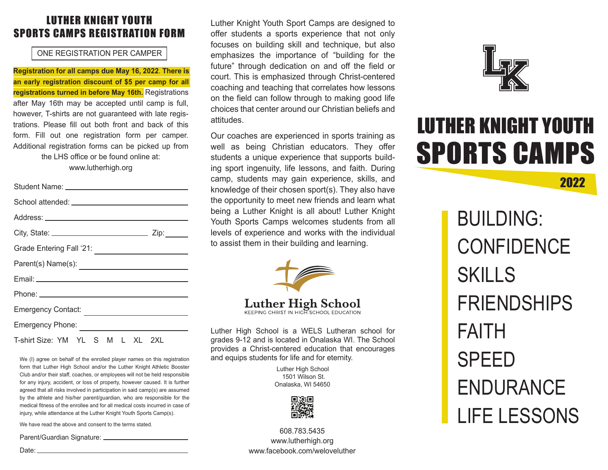### LUTHER KNIGHT YOUTH SPORTS CAMPS REGISTRATION FORM

### ONE REGISTRATION PER CAMPER

**Registration for all camps due May 16, 2022**. **There is an early registration discount of \$5 per camp for all registrations turned in before May 16th.** Registrations after May 16th may be accepted until camp is full, however, T-shirts are not guaranteed with late registrations. Please fill out both front and back of this form. Fill out one registration form per camper. Additional registration forms can be picked up from the LHS office or be found online at:

www.lutherhigh.org

| Zip:                             |  |  |  |
|----------------------------------|--|--|--|
|                                  |  |  |  |
|                                  |  |  |  |
|                                  |  |  |  |
|                                  |  |  |  |
| Emergency Contact:               |  |  |  |
| <b>Emergency Phone:</b>          |  |  |  |
| T-shirt Size: YM YL S M L XL 2XL |  |  |  |

We (I) agree on behalf of the enrolled player names on this registration form that Luther High School and/or the Luther Knight Athletic Booster Club and/or their staff, coaches, or employees will not be held responsible for any injury, accident, or loss of property, however caused. It is further agreed that all risks involved in participation in said camp(s) are assumed by the athlete and his/her parent/guardian, who are responsible for the medical fitness of the enrollee and for all medical costs incurred in case of injury, while attendance at the Luther Knight Youth Sports Camp(s).

We have read the above and consent to the terms stated.

Parent/Guardian Signature: \_\_\_\_\_\_\_\_\_\_\_\_\_\_\_\_

Luther Knight Youth Sport Camps are designed to offer students a sports experience that not only focuses on building skill and technique, but also emphasizes the importance of "building for the future" through dedication on and off the field or court. This is emphasized through Christ-centered coaching and teaching that correlates how lessons on the field can follow through to making good life choices that center around our Christian beliefs and attitudes.

Our coaches are experienced in sports training as well as being Christian educators. They offer students a unique experience that supports building sport ingenuity, life lessons, and faith. During camp, students may gain experience, skills, and knowledge of their chosen sport(s). They also have the opportunity to meet new friends and learn what being a Luther Knight is all about! Luther Knight Youth Sports Camps welcomes students from all levels of experience and works with the individual to assist them in their building and learning.



**Luther High School** 

Luther High School is a WELS Lutheran school for grades 9-12 and is located in Onalaska WI. The School provides a Christ-centered education that encourages and equips students for life and for eternity.

> Luther High School 1501 Wilson St. Onalaska, WI 54650



608.783.5435 www.lutherhigh.org www.facebook.com/weloveluther



# LUTHER KNIGHT YOUTH SPORTS CAMPS

2022

BUILDING: **CONFIDENCE** SKILLS FRIENDSHIPS FAITH SPEED ENDURANCE LIFE LESSONS

Date: